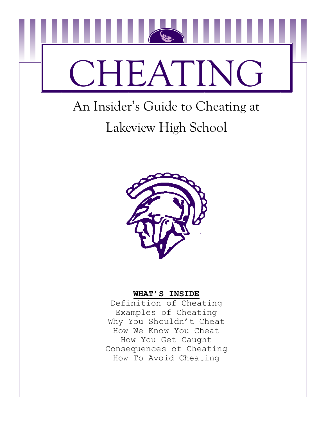

# An Insider's Guide to Cheating at Lakeview High School



### **WHAT'S INSIDE**

Definition of Cheating Examples of Cheating Why You Shouldn't Cheat How We Know You Cheat How You Get Caught Consequences of Cheating How To Avoid Cheating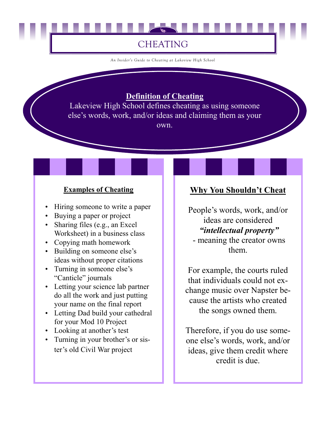# CHEATING

*An Insider's Guide to Cheating at Lakeview High School* 

### **Definition of Cheating**

Lakeview High School defines cheating as using someone else's words, work, and/or ideas and claiming them as your own.

### **Examples of Cheating**

- Hiring someone to write a paper
- Buying a paper or project
- Sharing files (e.g., an Excel Worksheet) in a business class
- Copying math homework
- Building on someone else's ideas without proper citations
- Turning in someone else's "Canticle" journals
- Letting your science lab partner do all the work and just putting your name on the final report
- Letting Dad build your cathedral for your Mod 10 Project
- Looking at another's test
- Turning in your brother's or sister's old Civil War project

## **Why You Shouldn't Cheat**

People's words, work, and/or ideas are considered  *"intellectual property"* 

 - meaning the creator owns them.

For example, the courts ruled that individuals could not exchange music over Napster because the artists who created the songs owned them.

Therefore, if you do use someone else's words, work, and/or ideas, give them credit where credit is due.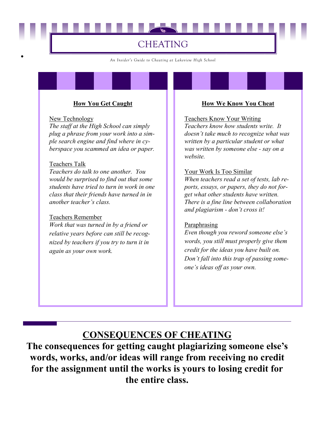## CHEATING

*An Insider's Guide to Cheating at Lakeview High School* 

#### **How You Get Caught**

#### New Technology

•

*The staff at the High School can simply plug a phrase from your work into a simple search engine and find where in cyberspace you scammed an idea or paper.* 

#### Teachers Talk

*Teachers do talk to one another. You would be surprised to find out that some students have tried to turn in work in one class that their friends have turned in in another teacher's class.* 

#### Teachers Remember

*Work that was turned in by a friend or relative years before can still be recognized by teachers if you try to turn it in again as your own work.* 

#### **How We Know You Cheat**

#### Teachers Know Your Writing

*Teachers know how students write. It doesn't take much to recognize what was written by a particular student or what was written by someone else - say on a website.*

#### Your Work Is Too Similar

*When teachers read a set of tests, lab reports, essays, or papers, they do not forget what other students have written. There is a fine line between collaboration and plagiarism - don't cross it!*

#### **Paraphrasing**

*Even though you reword someone else's words, you still must properly give them credit for the ideas you have built on. Don't fall into this trap of passing someone's ideas off as your own.*

### **CONSEQUENCES OF CHEATING**

**The consequences for getting caught plagiarizing someone else's words, works, and/or ideas will range from receiving no credit for the assignment until the works is yours to losing credit for the entire class.**